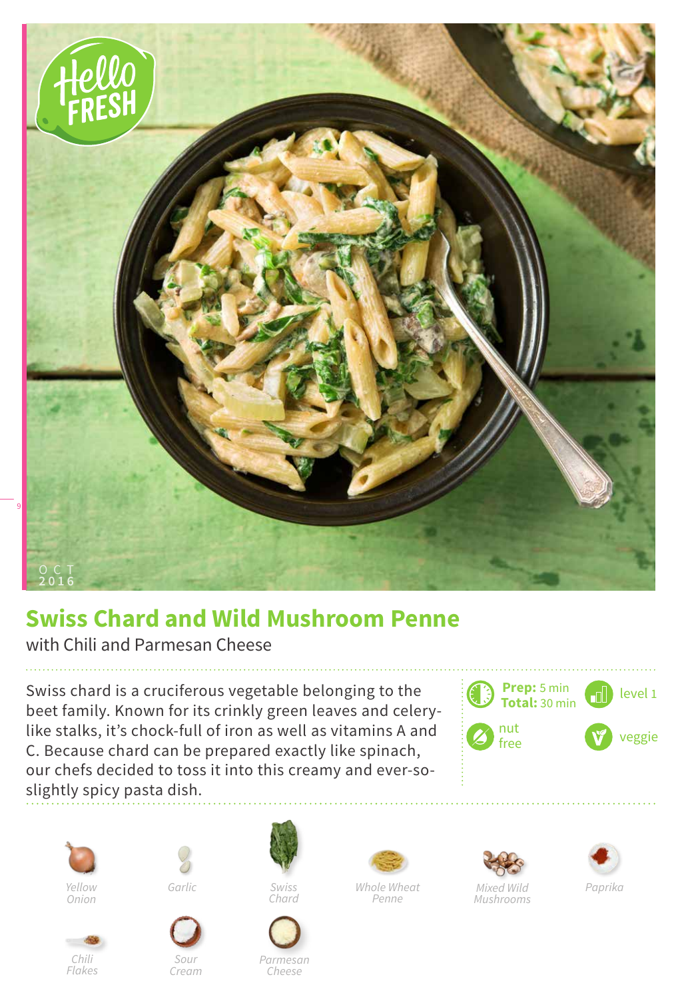

## **Swiss Chard and Wild Mushroom Penne**

with Chili and Parmesan Cheese

Swiss chard is a cruciferous vegetable belonging to the beet family. Known for its crinkly green leaves and celerylike stalks, it's chock-full of iron as well as vitamins A and C. Because chard can be prepared exactly like spinach, our chefs decided to toss it into this creamy and ever-soslightly spicy pasta dish.





*Chili Flakes*



*Sour Cream*



*Swiss Chard*







*Mixed Wild Mushrooms*



*Cheese*